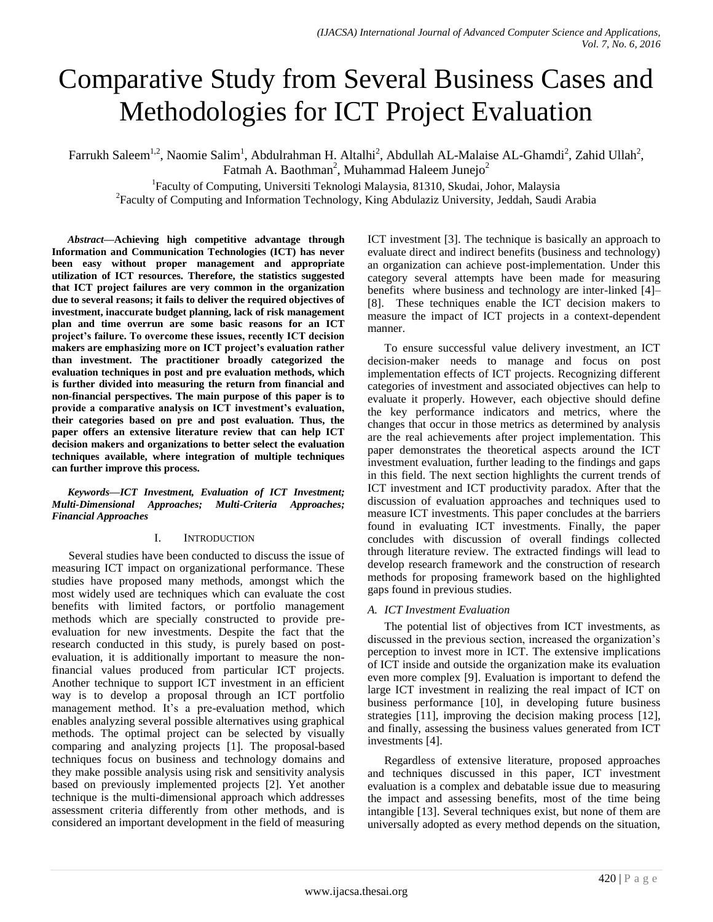# Comparative Study from Several Business Cases and Methodologies for ICT Project Evaluation

Farrukh Saleem<sup>1,2</sup>, Naomie Salim<sup>1</sup>, Abdulrahman H. Altalhi<sup>2</sup>, Abdullah AL-Malaise AL-Ghamdi<sup>2</sup>, Zahid Ullah<sup>2</sup>, Fatmah A. Baothman<sup>2</sup>, Muhammad Haleem Junejo<sup>2</sup>

<sup>1</sup>Faculty of Computing, Universiti Teknologi Malaysia, 81310, Skudai, Johor, Malaysia <sup>2</sup> Faculty of Computing and Information Technology, King Abdulaziz University, Jeddah, Saudi Arabia

*Abstract***—Achieving high competitive advantage through Information and Communication Technologies (ICT) has never been easy without proper management and appropriate utilization of ICT resources. Therefore, the statistics suggested that ICT project failures are very common in the organization due to several reasons; it fails to deliver the required objectives of investment, inaccurate budget planning, lack of risk management plan and time overrun are some basic reasons for an ICT project's failure. To overcome these issues, recently ICT decision makers are emphasizing more on ICT project's evaluation rather than investment. The practitioner broadly categorized the evaluation techniques in post and pre evaluation methods, which is further divided into measuring the return from financial and non-financial perspectives. The main purpose of this paper is to provide a comparative analysis on ICT investment's evaluation, their categories based on pre and post evaluation. Thus, the paper offers an extensive literature review that can help ICT decision makers and organizations to better select the evaluation techniques available, where integration of multiple techniques can further improve this process.**

## *Keywords—ICT Investment, Evaluation of ICT Investment; Multi-Dimensional Approaches; Multi-Criteria Approaches; Financial Approaches*

## I. INTRODUCTION

Several studies have been conducted to discuss the issue of measuring ICT impact on organizational performance. These studies have proposed many methods, amongst which the most widely used are techniques which can evaluate the cost benefits with limited factors, or portfolio management methods which are specially constructed to provide preevaluation for new investments. Despite the fact that the research conducted in this study, is purely based on postevaluation, it is additionally important to measure the nonfinancial values produced from particular ICT projects. Another technique to support ICT investment in an efficient way is to develop a proposal through an ICT portfolio management method. It's a pre-evaluation method, which enables analyzing several possible alternatives using graphical methods. The optimal project can be selected by visually comparing and analyzing projects [1]. The proposal-based techniques focus on business and technology domains and they make possible analysis using risk and sensitivity analysis based on previously implemented projects [2]. Yet another technique is the multi-dimensional approach which addresses assessment criteria differently from other methods, and is considered an important development in the field of measuring ICT investment [3]. The technique is basically an approach to evaluate direct and indirect benefits (business and technology) an organization can achieve post-implementation. Under this category several attempts have been made for measuring benefits where business and technology are inter-linked [4]– [8]. These techniques enable the ICT decision makers to measure the impact of ICT projects in a context-dependent manner.

To ensure successful value delivery investment, an ICT decision-maker needs to manage and focus on post implementation effects of ICT projects. Recognizing different categories of investment and associated objectives can help to evaluate it properly. However, each objective should define the key performance indicators and metrics, where the changes that occur in those metrics as determined by analysis are the real achievements after project implementation. This paper demonstrates the theoretical aspects around the ICT investment evaluation, further leading to the findings and gaps in this field. The next section highlights the current trends of ICT investment and ICT productivity paradox. After that the discussion of evaluation approaches and techniques used to measure ICT investments. This paper concludes at the barriers found in evaluating ICT investments. Finally, the paper concludes with discussion of overall findings collected through literature review. The extracted findings will lead to develop research framework and the construction of research methods for proposing framework based on the highlighted gaps found in previous studies.

## *A. ICT Investment Evaluation*

The potential list of objectives from ICT investments, as discussed in the previous section, increased the organization"s perception to invest more in ICT. The extensive implications of ICT inside and outside the organization make its evaluation even more complex [9]. Evaluation is important to defend the large ICT investment in realizing the real impact of ICT on business performance [10], in developing future business strategies [11], improving the decision making process [12], and finally, assessing the business values generated from ICT investments [4].

Regardless of extensive literature, proposed approaches and techniques discussed in this paper, ICT investment evaluation is a complex and debatable issue due to measuring the impact and assessing benefits, most of the time being intangible [13]. Several techniques exist, but none of them are universally adopted as every method depends on the situation,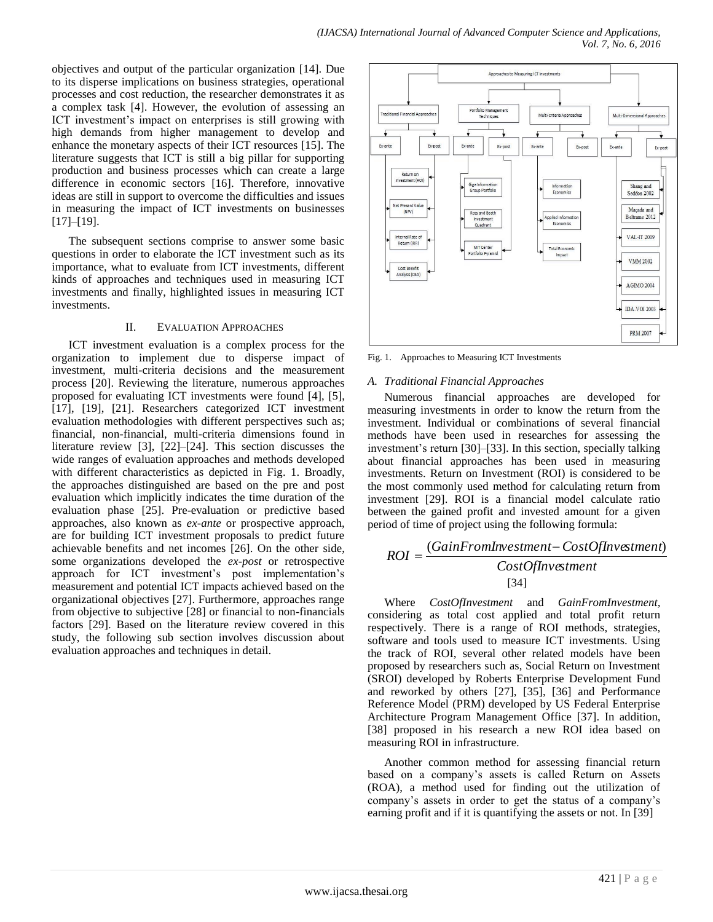objectives and output of the particular organization [14]. Due to its disperse implications on business strategies, operational processes and cost reduction, the researcher demonstrates it as a complex task [4]. However, the evolution of assessing an ICT investment's impact on enterprises is still growing with high demands from higher management to develop and enhance the monetary aspects of their ICT resources [15]. The literature suggests that ICT is still a big pillar for supporting production and business processes which can create a large difference in economic sectors [16]. Therefore, innovative ideas are still in support to overcome the difficulties and issues in measuring the impact of ICT investments on businesses [17]–[19].

The subsequent sections comprise to answer some basic questions in order to elaborate the ICT investment such as its importance, what to evaluate from ICT investments, different kinds of approaches and techniques used in measuring ICT investments and finally, highlighted issues in measuring ICT investments.

## II. EVALUATION APPROACHES

ICT investment evaluation is a complex process for the organization to implement due to disperse impact of investment, multi-criteria decisions and the measurement process [20]. Reviewing the literature, numerous approaches proposed for evaluating ICT investments were found [4], [5], [17], [19], [21]. Researchers categorized ICT investment evaluation methodologies with different perspectives such as; financial, non-financial, multi-criteria dimensions found in literature review [3], [22]–[24]. This section discusses the wide ranges of evaluation approaches and methods developed with different characteristics as depicted in Fig. 1. Broadly, the approaches distinguished are based on the pre and post evaluation which implicitly indicates the time duration of the evaluation phase [25]. Pre-evaluation or predictive based approaches, also known as *ex-ante* or prospective approach, are for building ICT investment proposals to predict future achievable benefits and net incomes [26]. On the other side, some organizations developed the *ex-post* or retrospective approach for ICT investment"s post implementation"s measurement and potential ICT impacts achieved based on the organizational objectives [27]. Furthermore, approaches range from objective to subjective [28] or financial to non-financials factors [29]. Based on the literature review covered in this study, the following sub section involves discussion about evaluation approaches and techniques in detail.



Fig. 1. Approaches to Measuring ICT Investments

## *A. Traditional Financial Approaches*

Numerous financial approaches are developed for measuring investments in order to know the return from the investment. Individual or combinations of several financial methods have been used in researches for assessing the investment's return [30]–[33]. In this section, specially talking about financial approaches has been used in measuring investments. Return on Investment (ROI) is considered to be the most commonly used method for calculating return from investment [29]. ROI is a financial model calculate ratio between the gained profit and invested amount for a given period of time of project using the following formula:

$$
ROI = \frac{(GainFromInvestment - CostOfInvestment)}{CostOfInvestment}
$$
  
[34]

Where *CostOfInvestment* and *GainFromInvestment,*  considering as total cost applied and total profit return respectively. There is a range of ROI methods, strategies, software and tools used to measure ICT investments. Using the track of ROI, several other related models have been proposed by researchers such as, Social Return on Investment (SROI) developed by Roberts Enterprise Development Fund and reworked by others [27], [35], [36] and Performance Reference Model (PRM) developed by US Federal Enterprise Architecture Program Management Office [37]. In addition, [38] proposed in his research a new ROI idea based on measuring ROI in infrastructure.

Another common method for assessing financial return based on a company"s assets is called Return on Assets (ROA), a method used for finding out the utilization of company's assets in order to get the status of a company's earning profit and if it is quantifying the assets or not. In [39]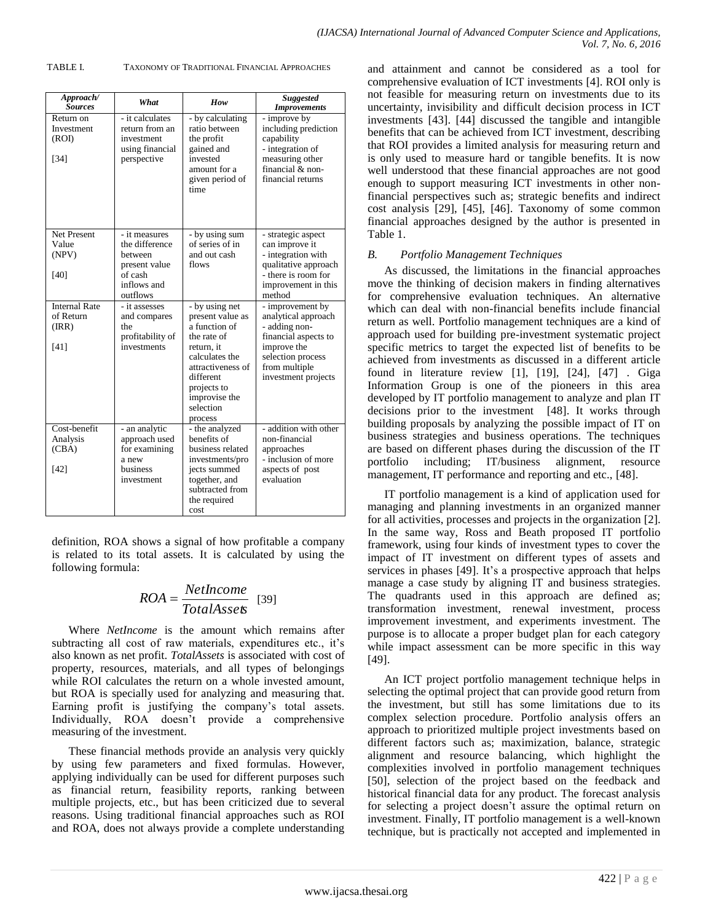| Approach/<br><b>Sources</b>                       | What                                                                                              | How                                                                                                                                                                                          | <b>Suggested</b><br><b>Improvements</b>                                                                                                                      |
|---------------------------------------------------|---------------------------------------------------------------------------------------------------|----------------------------------------------------------------------------------------------------------------------------------------------------------------------------------------------|--------------------------------------------------------------------------------------------------------------------------------------------------------------|
| Return on<br>Investment<br>(ROI)<br>$[34]$        | - it calculates<br>return from an<br>investment<br>using financial<br>perspective                 | - by calculating<br>ratio between<br>the profit<br>gained and<br>invested<br>amount for a<br>given period of<br>time                                                                         | - improve by<br>including prediction<br>capability<br>- integration of<br>measuring other<br>financial & non-<br>financial returns                           |
| Net Present<br>Value<br>(NPV)<br>[40]             | - it measures<br>the difference<br>between<br>present value<br>of cash<br>inflows and<br>outflows | - by using sum<br>of series of in<br>and out cash<br>flows                                                                                                                                   | - strategic aspect<br>can improve it<br>- integration with<br>qualitative approach<br>- there is room for<br>improvement in this<br>method                   |
| <b>Internal Rate</b><br>of Return<br>(RR)<br>[41] | - it assesses<br>and compares<br>the<br>profitability of<br>investments                           | - by using net<br>present value as<br>a function of<br>the rate of<br>return, it<br>calculates the<br>attractiveness of<br>different<br>projects to<br>improvise the<br>selection<br>process | - improvement by<br>analytical approach<br>- adding non-<br>financial aspects to<br>improve the<br>selection process<br>from multiple<br>investment projects |
| Cost-benefit<br>Analysis<br>(CBA)<br>[42]         | - an analytic<br>approach used<br>for examining<br>a new<br>business<br>investment                | - the analyzed<br>benefits of<br>business related<br>investments/pro<br>jects summed<br>together, and<br>subtracted from<br>the required<br>cost                                             | - addition with other<br>non-financial<br>approaches<br>- inclusion of more<br>aspects of post<br>evaluation                                                 |

TABLE I. TAXONOMY OF TRADITIONAL FINANCIAL APPROACHES

and attainment and cannot be considered as a tool for comprehensive evaluation of ICT investments [4]. ROI only is not feasible for measuring return on investments due to its uncertainty, invisibility and difficult decision process in ICT investments [43]. [44] discussed the tangible and intangible benefits that can be achieved from ICT investment, describing that ROI provides a limited analysis for measuring return and is only used to measure hard or tangible benefits. It is now well understood that these financial approaches are not good enough to support measuring ICT investments in other nonfinancial perspectives such as; strategic benefits and indirect cost analysis [29], [45], [46]. Taxonomy of some common financial approaches designed by the author is presented in Table 1.

*Vol. 7, No. 6, 2016*

*(IJACSA) International Journal of Advanced Computer Science and Applications,*

#### *B. Portfolio Management Techniques*

As discussed, the limitations in the financial approaches move the thinking of decision makers in finding alternatives for comprehensive evaluation techniques. An alternative which can deal with non-financial benefits include financial return as well. Portfolio management techniques are a kind of approach used for building pre-investment systematic project specific metrics to target the expected list of benefits to be achieved from investments as discussed in a different article found in literature review [1], [19], [24], [47] . Giga Information Group is one of the pioneers in this area developed by IT portfolio management to analyze and plan IT decisions prior to the investment [48]. It works through building proposals by analyzing the possible impact of IT on business strategies and business operations. The techniques are based on different phases during the discussion of the IT portfolio including; IT/business alignment, resource portfolio including;  $IT/business$ management, IT performance and reporting and etc., [48].

IT portfolio management is a kind of application used for managing and planning investments in an organized manner for all activities, processes and projects in the organization [2]. In the same way, Ross and Beath proposed IT portfolio framework, using four kinds of investment types to cover the impact of IT investment on different types of assets and services in phases [49]. It's a prospective approach that helps manage a case study by aligning IT and business strategies. The quadrants used in this approach are defined as; transformation investment, renewal investment, process improvement investment, and experiments investment. The purpose is to allocate a proper budget plan for each category while impact assessment can be more specific in this way [49].

An ICT project portfolio management technique helps in selecting the optimal project that can provide good return from the investment, but still has some limitations due to its complex selection procedure. Portfolio analysis offers an approach to prioritized multiple project investments based on different factors such as; maximization, balance, strategic alignment and resource balancing, which highlight the complexities involved in portfolio management techniques [50], selection of the project based on the feedback and historical financial data for any product. The forecast analysis for selecting a project doesn't assure the optimal return on investment. Finally, IT portfolio management is a well-known technique, but is practically not accepted and implemented in

definition, ROA shows a signal of how profitable a company is related to its total assets. It is calculated by using the following formula:

$$
ROA = \frac{Net Income}{Total Asset} \quad [39]
$$

Where *NetIncome* is the amount which remains after subtracting all cost of raw materials, expenditures etc., it's also known as net profit. *TotalAssets* is associated with cost of property, resources, materials, and all types of belongings while ROI calculates the return on a whole invested amount, but ROA is specially used for analyzing and measuring that. Earning profit is justifying the company"s total assets. Individually, ROA doesn"t provide a comprehensive measuring of the investment.

These financial methods provide an analysis very quickly by using few parameters and fixed formulas. However, applying individually can be used for different purposes such as financial return, feasibility reports, ranking between multiple projects, etc., but has been criticized due to several reasons. Using traditional financial approaches such as ROI and ROA, does not always provide a complete understanding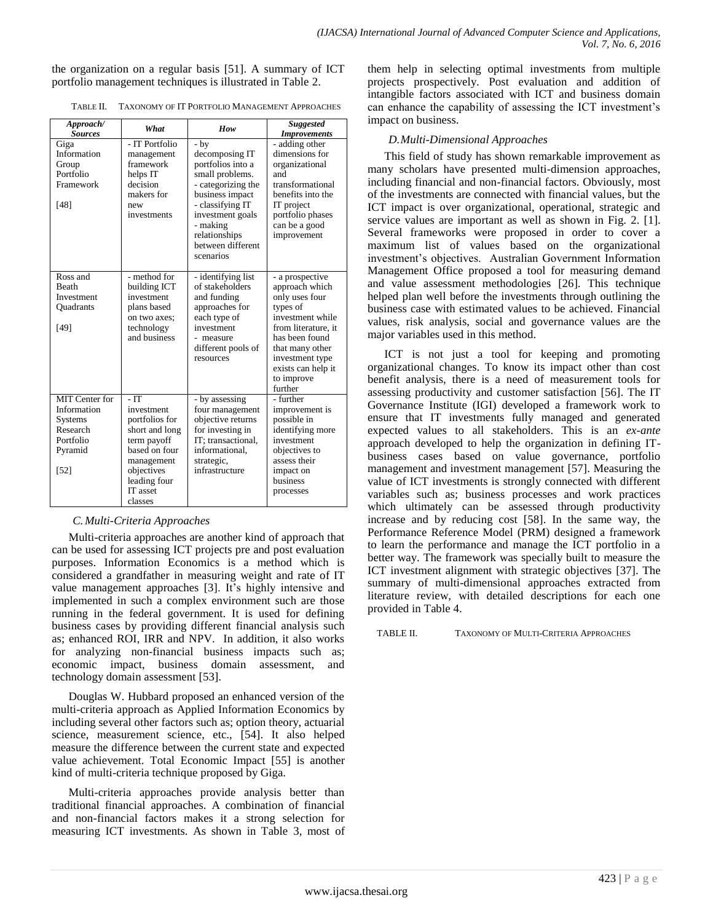the organization on a regular basis [51]. A summary of ICT portfolio management techniques is illustrated in Table 2.

|  | TABLE II. | TAXONOMY OF IT PORTFOLIO MANAGEMENT APPROACHES |
|--|-----------|------------------------------------------------|
|--|-----------|------------------------------------------------|

| Approach/<br><b>Sources</b>                                                                          | What                                                                                                                                                      | How                                                                                                                                                                                                             | <b>Suggested</b><br><b>Improvements</b>                                                                                                                                                                           |
|------------------------------------------------------------------------------------------------------|-----------------------------------------------------------------------------------------------------------------------------------------------------------|-----------------------------------------------------------------------------------------------------------------------------------------------------------------------------------------------------------------|-------------------------------------------------------------------------------------------------------------------------------------------------------------------------------------------------------------------|
| Giga<br>Information<br>Group<br>Portfolio<br>Framework<br>[48]                                       | - IT Portfolio<br>management<br>framework<br>helps IT<br>decision<br>makers for<br>new<br>investments                                                     | $-by$<br>decomposing IT<br>portfolios into a<br>small problems.<br>- categorizing the<br>business impact<br>- classifying IT<br>investment goals<br>- making<br>relationships<br>between different<br>scenarios | - adding other<br>dimensions for<br>organizational<br>and<br>transformational<br>benefits into the<br>IT project<br>portfolio phases<br>can be a good<br>improvement                                              |
| Ross and<br><b>Beath</b><br>Investment<br><b>Ouadrants</b><br>[49]                                   | - method for<br>building ICT<br>investment<br>plans based<br>on two axes;<br>technology<br>and business                                                   | - identifying list<br>of stakeholders<br>and funding<br>approaches for<br>each type of<br>investment<br>- measure<br>different pools of<br>resources                                                            | - a prospective<br>approach which<br>only uses four<br>types of<br>investment while<br>from literature, it<br>has been found<br>that many other<br>investment type<br>exists can help it<br>to improve<br>further |
| <b>MIT Center for</b><br>Information<br><b>Systems</b><br>Research<br>Portfolio<br>Pyramid<br>$[52]$ | - IT<br>investment<br>portfolios for<br>short and long<br>term payoff<br>based on four<br>management<br>objectives<br>leading four<br>IT asset<br>classes | - by assessing<br>four management<br>objective returns<br>for investing in<br>IT; transactional,<br>informational.<br>strategic,<br>infrastructure                                                              | - further<br>improvement is<br>possible in<br>identifying more<br>investment<br>objectives to<br>assess their<br>impact on<br>business<br>processes                                                               |

## *C.Multi-Criteria Approaches*

Multi-criteria approaches are another kind of approach that can be used for assessing ICT projects pre and post evaluation purposes. Information Economics is a method which is considered a grandfather in measuring weight and rate of IT value management approaches [3]. It"s highly intensive and implemented in such a complex environment such are those running in the federal government. It is used for defining business cases by providing different financial analysis such as; enhanced ROI, IRR and NPV. In addition, it also works for analyzing non-financial business impacts such as; economic impact, business domain assessment, and technology domain assessment [53].

Douglas W. Hubbard proposed an enhanced version of the multi-criteria approach as Applied Information Economics by including several other factors such as; option theory, actuarial science, measurement science, etc., [54]. It also helped measure the difference between the current state and expected value achievement. Total Economic Impact [55] is another kind of multi-criteria technique proposed by Giga.

Multi-criteria approaches provide analysis better than traditional financial approaches. A combination of financial and non-financial factors makes it a strong selection for measuring ICT investments. As shown in Table 3, most of them help in selecting optimal investments from multiple projects prospectively. Post evaluation and addition of intangible factors associated with ICT and business domain can enhance the capability of assessing the ICT investment's impact on business.

## *D.Multi-Dimensional Approaches*

This field of study has shown remarkable improvement as many scholars have presented multi-dimension approaches, including financial and non-financial factors. Obviously, most of the investments are connected with financial values, but the ICT impact is over organizational, operational, strategic and service values are important as well as shown in Fig. 2. [1]. Several frameworks were proposed in order to cover a maximum list of values based on the organizational investment"s objectives. Australian Government Information Management Office proposed a tool for measuring demand and value assessment methodologies [26]. This technique helped plan well before the investments through outlining the business case with estimated values to be achieved. Financial values, risk analysis, social and governance values are the major variables used in this method.

ICT is not just a tool for keeping and promoting organizational changes. To know its impact other than cost benefit analysis, there is a need of measurement tools for assessing productivity and customer satisfaction [56]. The IT Governance Institute (IGI) developed a framework work to ensure that IT investments fully managed and generated expected values to all stakeholders. This is an *ex-ante* approach developed to help the organization in defining ITbusiness cases based on value governance, portfolio management and investment management [57]. Measuring the value of ICT investments is strongly connected with different variables such as; business processes and work practices which ultimately can be assessed through productivity increase and by reducing cost [58]. In the same way, the Performance Reference Model (PRM) designed a framework to learn the performance and manage the ICT portfolio in a better way. The framework was specially built to measure the ICT investment alignment with strategic objectives [37]. The summary of multi-dimensional approaches extracted from literature review, with detailed descriptions for each one provided in Table 4.

TABLE II. TAXONOMY OF MULTI-CRITERIA APPROACHES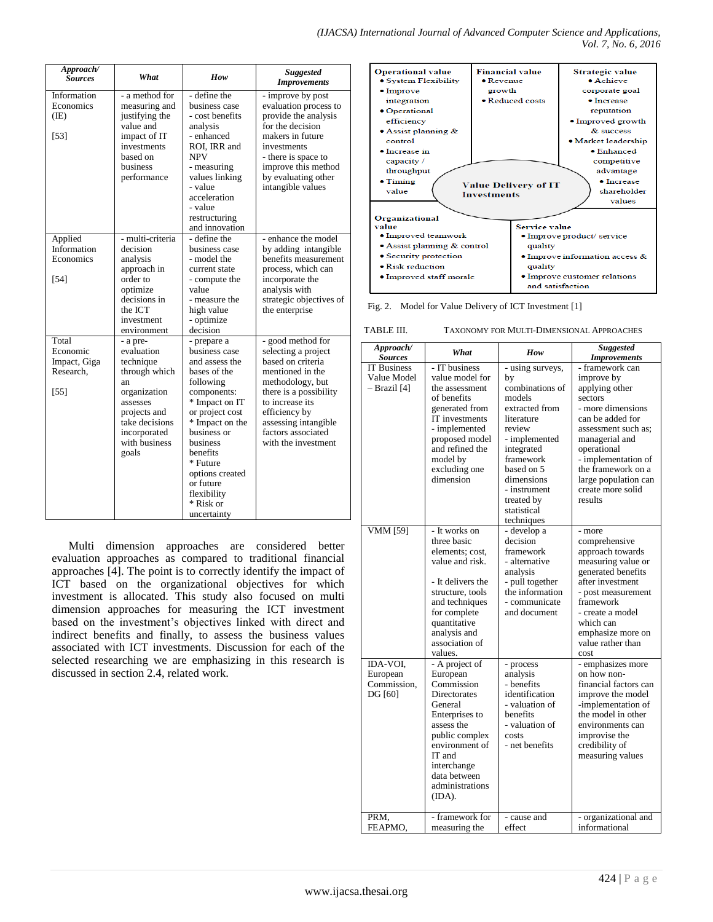| Approach/<br><b>Sources</b>                              | What                                                                                                                                                               | How                                                                                                                                                                                                                                                                              | <b>Suggested</b><br><b>Improvements</b>                                                                                                                                                                                                  |
|----------------------------------------------------------|--------------------------------------------------------------------------------------------------------------------------------------------------------------------|----------------------------------------------------------------------------------------------------------------------------------------------------------------------------------------------------------------------------------------------------------------------------------|------------------------------------------------------------------------------------------------------------------------------------------------------------------------------------------------------------------------------------------|
| Information<br>Economics<br>(IE)<br>$[53]$               | - a method for<br>measuring and<br>justifying the<br>value and<br>impact of IT<br>investments<br>based on<br>business<br>performance                               | - define the<br>business case<br>- cost benefits<br>analysis<br>- enhanced<br>ROI, IRR and<br>NPV<br>- measuring<br>values linking<br>- value<br>acceleration<br>- value<br>restructuring<br>and innovation                                                                      | - improve by post<br>evaluation process to<br>provide the analysis<br>for the decision<br>makers in future<br>investments<br>- there is space to<br>improve this method<br>by evaluating other<br>intangible values                      |
| Applied<br>Information<br>Economics<br>$[54]$            | - multi-criteria<br>decision<br>analysis<br>approach in<br>order to<br>optimize<br>decisions in<br>the ICT<br>investment<br>environment                            | - define the<br>business case<br>- model the<br>current state<br>- compute the<br>value<br>- measure the<br>high value<br>- optimize<br>decision                                                                                                                                 | - enhance the model<br>by adding intangible<br>benefits measurement<br>process, which can<br>incorporate the<br>analysis with<br>strategic objectives of<br>the enterprise                                                               |
| Total<br>Economic<br>Impact, Giga<br>Research,<br>$[55]$ | - a pre-<br>evaluation<br>technique<br>through which<br>an<br>organization<br>assesses<br>projects and<br>take decisions<br>incorporated<br>with business<br>goals | - prepare a<br>business case<br>and assess the<br>bases of the<br>following<br>components:<br>* Impact on IT<br>or project cost<br>* Impact on the<br>business or<br>business<br>benefits<br>* Future<br>options created<br>or future<br>flexibility<br>* Risk or<br>uncertainty | - good method for<br>selecting a project<br>based on criteria<br>mentioned in the<br>methodology, but<br>there is a possibility<br>to increase its<br>efficiency by<br>assessing intangible<br>factors associated<br>with the investment |

Multi dimension approaches are considered better evaluation approaches as compared to traditional financial approaches [4]. The point is to correctly identify the impact of ICT based on the organizational objectives for which investment is allocated. This study also focused on multi dimension approaches for measuring the ICT investment based on the investment's objectives linked with direct and indirect benefits and finally, to assess the business values associated with ICT investments. Discussion for each of the selected researching we are emphasizing in this research is discussed in section 2.4, related work.



Fig. 2. Model for Value Delivery of ICT Investment [1]

| TABLE III. | TAXONOMY FOR MULTI-DIMENSIONAL APPROACHES |  |
|------------|-------------------------------------------|--|
|            |                                           |  |

|                                                   |                                                                                                                                                                                                               |                                                                                                                                                                                                                                  | LAAONOMI FON MULTI-DIMENSIONAL AFFNOACHES                                                                                                                                                                                                                        |
|---------------------------------------------------|---------------------------------------------------------------------------------------------------------------------------------------------------------------------------------------------------------------|----------------------------------------------------------------------------------------------------------------------------------------------------------------------------------------------------------------------------------|------------------------------------------------------------------------------------------------------------------------------------------------------------------------------------------------------------------------------------------------------------------|
| Approach/<br><b>Sources</b>                       | What                                                                                                                                                                                                          | How                                                                                                                                                                                                                              | <b>Suggested</b><br><b>Improvements</b>                                                                                                                                                                                                                          |
| <b>IT Business</b><br>Value Model<br>- Brazil [4] | - IT business<br>value model for<br>the assessment<br>of benefits<br>generated from<br>IT investments<br>- implemented<br>proposed model<br>and refined the<br>model by<br>excluding one<br>dimension         | - using surveys,<br>by<br>combinations of<br>models<br>extracted from<br>literature<br>review<br>- implemented<br>integrated<br>framework<br>based on 5<br>dimensions<br>- instrument<br>treated by<br>statistical<br>techniques | - framework can<br>improve by<br>applying other<br>sectors<br>- more dimensions<br>can be added for<br>assessment such as;<br>managerial and<br>operational<br>- implementation of<br>the framework on a<br>large population can<br>create more solid<br>results |
| <b>VMM</b> [59]                                   | - It works on<br>three basic<br>elements; cost,<br>value and risk.<br>- It delivers the<br>structure, tools<br>and techniques<br>for complete<br>quantitative<br>analysis and<br>association of<br>values.    | - develop a<br>decision<br>framework<br>- alternative<br>analysis<br>- pull together<br>the information<br>- communicate<br>and document                                                                                         | - more<br>comprehensive<br>approach towards<br>measuring value or<br>generated benefits<br>after investment<br>- post measurement<br>framework<br>- create a model<br>which can<br>emphasize more on<br>value rather than<br>cost                                |
| IDA-VOI,<br>European<br>Commission,<br>DG [60]    | - A project of<br>European<br>Commission<br>Directorates<br>General<br>Enterprises to<br>assess the<br>public complex<br>environment of<br>IT and<br>interchange<br>data between<br>administrations<br>(IDA). | - process<br>analysis<br>- benefits<br>identification<br>- valuation of<br>benefits<br>- valuation of<br>costs<br>- net benefits                                                                                                 | - emphasizes more<br>on how non-<br>financial factors can<br>improve the model<br>-implementation of<br>the model in other<br>environments can<br>improvise the<br>credibility of<br>measuring values                                                            |
| PRM,<br>FEAPMO,                                   | - framework for<br>measuring the                                                                                                                                                                              | - cause and<br>effect                                                                                                                                                                                                            | - organizational and<br>informational                                                                                                                                                                                                                            |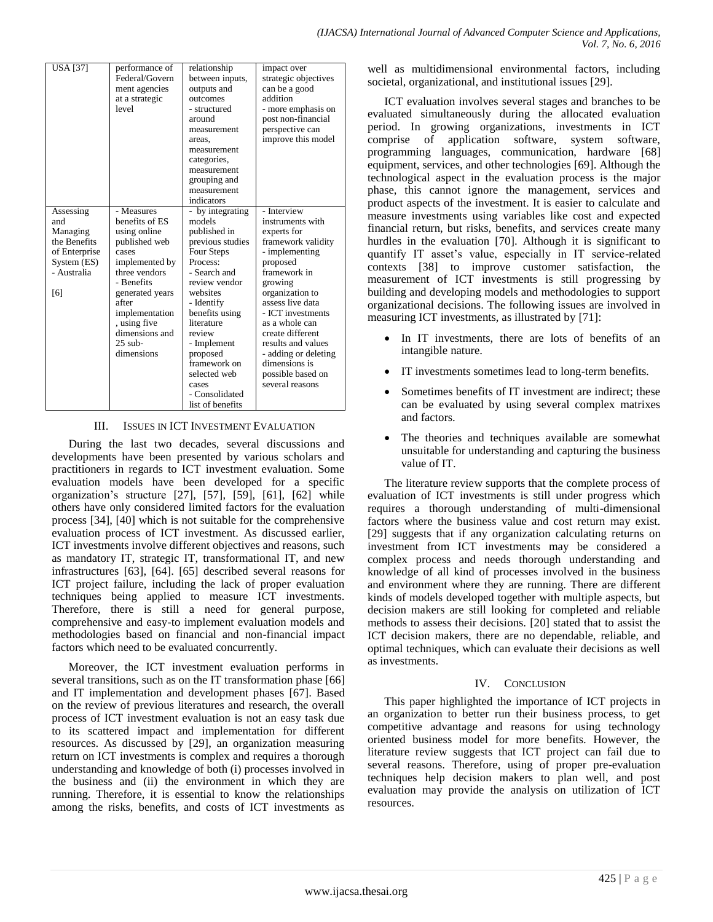| <b>USA</b> [37]                                                                                    | performance of<br>Federal/Govern<br>ment agencies<br>at a strategic<br>level                                                                                                                                                       | relationship<br>between inputs,<br>outputs and<br>outcomes<br>- structured<br>around<br>measurement<br>areas.<br>measurement<br>categories.<br>measurement<br>grouping and<br>measurement<br>indicators                                                                                                 | impact over<br>strategic objectives<br>can be a good<br>addition<br>- more emphasis on<br>post non-financial<br>perspective can<br>improve this model                                                                                                                                                                                  |
|----------------------------------------------------------------------------------------------------|------------------------------------------------------------------------------------------------------------------------------------------------------------------------------------------------------------------------------------|---------------------------------------------------------------------------------------------------------------------------------------------------------------------------------------------------------------------------------------------------------------------------------------------------------|----------------------------------------------------------------------------------------------------------------------------------------------------------------------------------------------------------------------------------------------------------------------------------------------------------------------------------------|
| Assessing<br>and<br>Managing<br>the Benefits<br>of Enterprise<br>System (ES)<br>- Australia<br>[6] | - Measures<br>benefits of ES<br>using online<br>published web<br>cases<br>implemented by<br>three vendors<br>- Benefits<br>generated years<br>after<br>implementation<br>, using five<br>dimensions and<br>$25$ sub-<br>dimensions | - by integrating<br>models<br>published in<br>previous studies<br>Four Steps<br>Process:<br>- Search and<br>review vendor<br>websites<br>- Identify<br>benefits using<br>literature<br>review<br>- Implement<br>proposed<br>framework on<br>selected web<br>cases<br>- Consolidated<br>list of benefits | - Interview<br>instruments with<br>experts for<br>framework validity<br>- implementing<br>proposed<br>framework in<br>growing<br>organization to<br>assess live data<br>- ICT investments<br>as a whole can<br>create different<br>results and values<br>- adding or deleting<br>dimensions is<br>possible based on<br>several reasons |

### III. ISSUES IN ICT INVESTMENT EVALUATION

During the last two decades, several discussions and developments have been presented by various scholars and practitioners in regards to ICT investment evaluation. Some evaluation models have been developed for a specific organization's structure  $[27]$ ,  $[57]$ ,  $[59]$ ,  $[61]$ ,  $[62]$  while others have only considered limited factors for the evaluation process [34], [40] which is not suitable for the comprehensive evaluation process of ICT investment. As discussed earlier, ICT investments involve different objectives and reasons, such as mandatory IT, strategic IT, transformational IT, and new infrastructures [63], [64]. [65] described several reasons for ICT project failure, including the lack of proper evaluation techniques being applied to measure ICT investments. Therefore, there is still a need for general purpose, comprehensive and easy-to implement evaluation models and methodologies based on financial and non-financial impact factors which need to be evaluated concurrently.

Moreover, the ICT investment evaluation performs in several transitions, such as on the IT transformation phase [66] and IT implementation and development phases [67]. Based on the review of previous literatures and research, the overall process of ICT investment evaluation is not an easy task due to its scattered impact and implementation for different resources. As discussed by [29], an organization measuring return on ICT investments is complex and requires a thorough understanding and knowledge of both (i) processes involved in the business and (ii) the environment in which they are running. Therefore, it is essential to know the relationships among the risks, benefits, and costs of ICT investments as

well as multidimensional environmental factors, including societal, organizational, and institutional issues [29].

ICT evaluation involves several stages and branches to be evaluated simultaneously during the allocated evaluation period. In growing organizations, investments in ICT comprise of application software, system software, programming languages, communication, hardware [68] equipment, services, and other technologies [69]. Although the technological aspect in the evaluation process is the major phase, this cannot ignore the management, services and product aspects of the investment. It is easier to calculate and measure investments using variables like cost and expected financial return, but risks, benefits, and services create many hurdles in the evaluation [70]. Although it is significant to quantify IT asset's value, especially in IT service-related contexts [38] to improve customer satisfaction, the measurement of ICT investments is still progressing by building and developing models and methodologies to support organizational decisions. The following issues are involved in measuring ICT investments, as illustrated by [71]:

- In IT investments, there are lots of benefits of an intangible nature.
- IT investments sometimes lead to long-term benefits.
- Sometimes benefits of IT investment are indirect; these can be evaluated by using several complex matrixes and factors.
- The theories and techniques available are somewhat unsuitable for understanding and capturing the business value of IT.

The literature review supports that the complete process of evaluation of ICT investments is still under progress which requires a thorough understanding of multi-dimensional factors where the business value and cost return may exist. [29] suggests that if any organization calculating returns on investment from ICT investments may be considered a complex process and needs thorough understanding and knowledge of all kind of processes involved in the business and environment where they are running. There are different kinds of models developed together with multiple aspects, but decision makers are still looking for completed and reliable methods to assess their decisions. [20] stated that to assist the ICT decision makers, there are no dependable, reliable, and optimal techniques, which can evaluate their decisions as well as investments.

#### IV. CONCLUSION

This paper highlighted the importance of ICT projects in an organization to better run their business process, to get competitive advantage and reasons for using technology oriented business model for more benefits. However, the literature review suggests that ICT project can fail due to several reasons. Therefore, using of proper pre-evaluation techniques help decision makers to plan well, and post evaluation may provide the analysis on utilization of ICT resources.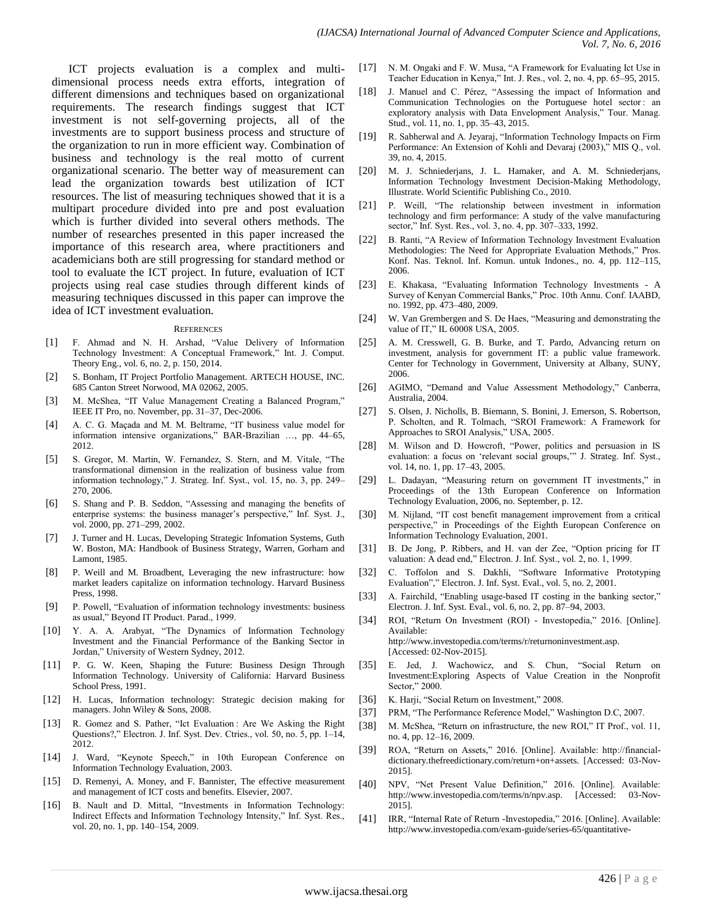ICT projects evaluation is a complex and multidimensional process needs extra efforts, integration of different dimensions and techniques based on organizational requirements. The research findings suggest that ICT investment is not self-governing projects, all of the investments are to support business process and structure of the organization to run in more efficient way. Combination of business and technology is the real motto of current organizational scenario. The better way of measurement can lead the organization towards best utilization of ICT resources. The list of measuring techniques showed that it is a multipart procedure divided into pre and post evaluation which is further divided into several others methods. The number of researches presented in this paper increased the importance of this research area, where practitioners and academicians both are still progressing for standard method or tool to evaluate the ICT project. In future, evaluation of ICT projects using real case studies through different kinds of measuring techniques discussed in this paper can improve the idea of ICT investment evaluation.

#### **REFERENCES**

- [1] F. Ahmad and N. H. Arshad, "Value Delivery of Information Technology Investment: A Conceptual Framework," Int. J. Comput. Theory Eng., vol. 6, no. 2, p. 150, 2014.
- [2] S. Bonham, IT Project Portfolio Management. ARTECH HOUSE, INC. 685 Canton Street Norwood, MA 02062, 2005.
- [3] M. McShea, "IT Value Management Creating a Balanced Program," IEEE IT Pro, no. November, pp. 31–37, Dec-2006.
- [4] A. C. G. Maçada and M. M. Beltrame, "IT business value model for information intensive organizations," BAR-Brazilian …, pp. 44–65, 2012.
- [5] S. Gregor, M. Martin, W. Fernandez, S. Stern, and M. Vitale, "The transformational dimension in the realization of business value from information technology," J. Strateg. Inf. Syst., vol. 15, no. 3, pp. 249– 270, 2006.
- [6] S. Shang and P. B. Seddon, "Assessing and managing the benefits of enterprise systems: the business manager's perspective," Inf. Syst. J., vol. 2000, pp. 271–299, 2002.
- [7] J. Turner and H. Lucas, Developing Strategic Infomation Systems, Guth W. Boston, MA: Handbook of Business Strategy, Warren, Gorham and Lamont, 1985.
- [8] P. Weill and M. Broadbent, Leveraging the new infrastructure: how market leaders capitalize on information technology. Harvard Business Press, 1998.
- [9] P. Powell, "Evaluation of information technology investments: business as usual," Beyond IT Product. Parad., 1999.
- [10] Y. A. A. Arabyat, "The Dynamics of Information Technology Investment and the Financial Performance of the Banking Sector in Jordan," University of Western Sydney, 2012.
- [11] P. G. W. Keen, Shaping the Future: Business Design Through Information Technology. University of California: Harvard Business School Press, 1991.
- [12] H. Lucas, Information technology: Strategic decision making for managers. John Wiley & Sons, 2008.
- [13] R. Gomez and S. Pather, "Ict Evaluation: Are We Asking the Right Questions?," Electron. J. Inf. Syst. Dev. Ctries., vol. 50, no. 5, pp. 1–14, 2012.
- [14] J. Ward, "Keynote Speech," in 10th European Conference on Information Technology Evaluation, 2003.
- [15] D. Remenyi, A. Money, and F. Bannister, The effective measurement and management of ICT costs and benefits. Elsevier, 2007.
- [16] B. Nault and D. Mittal, "Investments in Information Technology: Indirect Effects and Information Technology Intensity," Inf. Syst. Res., vol. 20, no. 1, pp. 140–154, 2009.
- [17] N. M. Ongaki and F. W. Musa, "A Framework for Evaluating Ict Use in Teacher Education in Kenya," Int. J. Res., vol. 2, no. 4, pp. 65–95, 2015.
- [18] J. Manuel and C. Pérez, "Assessing the impact of Information and Communication Technologies on the Portuguese hotel sector: an exploratory analysis with Data Envelopment Analysis," Tour. Manag. Stud., vol. 11, no. 1, pp. 35–43, 2015.
- [19] R. Sabherwal and A. Jeyaraj, "Information Technology Impacts on Firm Performance: An Extension of Kohli and Devaraj (2003)," MIS Q., vol. 39, no. 4, 2015.
- [20] M. J. Schniederjans, J. L. Hamaker, and A. M. Schniederjans, Information Technology Investment Decision-Making Methodology, Illustrate. World Scientific Publishing Co., 2010.
- [21] P. Weill, "The relationship between investment in information technology and firm performance: A study of the valve manufacturing sector," Inf. Syst. Res., vol. 3, no. 4, pp. 307–333, 1992.
- [22] B. Ranti, "A Review of Information Technology Investment Evaluation Methodologies: The Need for Appropriate Evaluation Methods," Pros. Konf. Nas. Teknol. Inf. Komun. untuk Indones., no. 4, pp. 112–115, 2006.
- [23] E. Khakasa, "Evaluating Information Technology Investments A Survey of Kenyan Commercial Banks," Proc. 10th Annu. Conf. IAABD, no. 1992, pp. 473–480, 2009.
- [24] W. Van Grembergen and S. De Haes, "Measuring and demonstrating the value of IT," IL 60008 USA, 2005.
- [25] A. M. Cresswell, G. B. Burke, and T. Pardo, Advancing return on investment, analysis for government IT: a public value framework. Center for Technology in Government, University at Albany, SUNY, 2006.
- [26] AGIMO, "Demand and Value Assessment Methodology," Canberra, Australia, 2004.
- [27] S. Olsen, J. Nicholls, B. Biemann, S. Bonini, J. Emerson, S. Robertson, P. Scholten, and R. Tolmach, "SROI Framework: A Framework for Approaches to SROI Analysis," USA, 2005.
- [28] M. Wilson and D. Howcroft, "Power, politics and persuasion in IS evaluation: a focus on "relevant social groups,"" J. Strateg. Inf. Syst., vol. 14, no. 1, pp. 17–43, 2005.
- [29] L. Dadayan, "Measuring return on government IT investments," in Proceedings of the 13th European Conference on Information Technology Evaluation, 2006, no. September, p. 12.
- [30] M. Nijland, "IT cost benefit management improvement from a critical perspective," in Proceedings of the Eighth European Conference on Information Technology Evaluation, 2001.
- [31] B. De Jong, P. Ribbers, and H. van der Zee, "Option pricing for IT valuation: A dead end," Electron. J. Inf. Syst., vol. 2, no. 1, 1999.
- [32] C. Toffolon and S. Dakhli, "Software Informative Prototyping Evaluation"," Electron. J. Inf. Syst. Eval., vol. 5, no. 2, 2001.
- [33] A. Fairchild, "Enabling usage-based IT costing in the banking sector," Electron. J. Inf. Syst. Eval., vol. 6, no. 2, pp. 87–94, 2003.
- [34] ROI, "Return On Investment (ROI) Investopedia," 2016. [Online]. Available: http://www.investopedia.com/terms/r/returnoninvestment.asp. [Accessed: 02-Nov-2015].
- [35] E. Jed, J. Wachowicz, and S. Chun, "Social Return on Investment:Exploring Aspects of Value Creation in the Nonprofit Sector," 2000.
- [36] K. Harji, "Social Return on Investment," 2008.
- [37] PRM, "The Performance Reference Model," Washington D.C, 2007.
- [38] M. McShea, "Return on infrastructure, the new ROI," IT Prof., vol. 11, no. 4, pp. 12–16, 2009.
- [39] ROA, "Return on Assets," 2016. [Online]. Available: http://financialdictionary.thefreedictionary.com/return+on+assets. [Accessed: 03-Nov-2015].
- [40] NPV, "Net Present Value Definition," 2016. [Online]. Available: http://www.investopedia.com/terms/n/npv.asp. [Accessed: 03-Nov-2015].
- [41] IRR, "Internal Rate of Return -Investopedia," 2016. [Online]. Available: http://www.investopedia.com/exam-guide/series-65/quantitative-